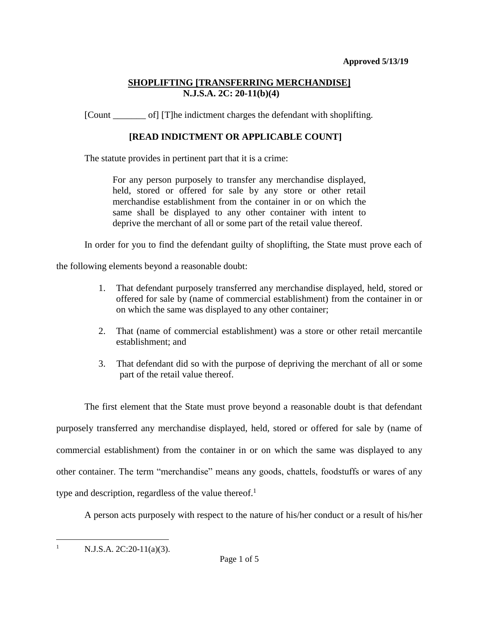[Count \_\_\_\_\_\_\_ of] [T]he indictment charges the defendant with shoplifting.

# **[READ INDICTMENT OR APPLICABLE COUNT]**

The statute provides in pertinent part that it is a crime:

For any person purposely to transfer any merchandise displayed, held, stored or offered for sale by any store or other retail merchandise establishment from the container in or on which the same shall be displayed to any other container with intent to deprive the merchant of all or some part of the retail value thereof.

In order for you to find the defendant guilty of shoplifting, the State must prove each of

the following elements beyond a reasonable doubt:

- 1. That defendant purposely transferred any merchandise displayed, held, stored or offered for sale by (name of commercial establishment) from the container in or on which the same was displayed to any other container;
- 2. That (name of commercial establishment) was a store or other retail mercantile establishment; and
- 3. That defendant did so with the purpose of depriving the merchant of all or some part of the retail value thereof.

The first element that the State must prove beyond a reasonable doubt is that defendant purposely transferred any merchandise displayed, held, stored or offered for sale by (name of commercial establishment) from the container in or on which the same was displayed to any other container. The term "merchandise" means any goods, chattels, foodstuffs or wares of any type and description, regardless of the value thereof.<sup>1</sup>

A person acts purposely with respect to the nature of his/her conduct or a result of his/her

<sup>1</sup> N.J.S.A. 2C:20-11(a)(3).

 $\overline{a}$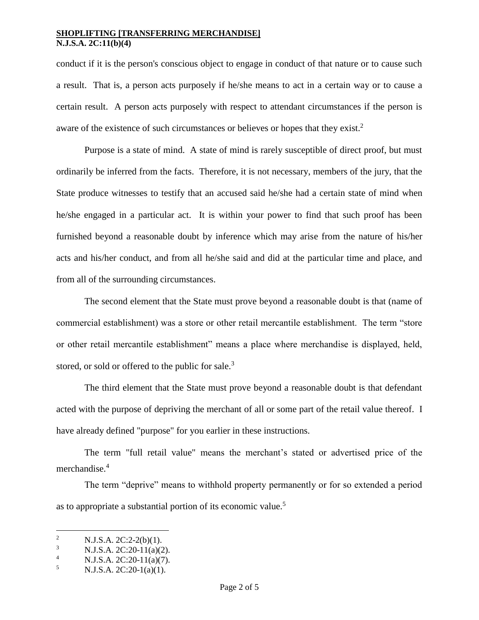conduct if it is the person's conscious object to engage in conduct of that nature or to cause such a result. That is, a person acts purposely if he/she means to act in a certain way or to cause a certain result. A person acts purposely with respect to attendant circumstances if the person is aware of the existence of such circumstances or believes or hopes that they exist.<sup>2</sup>

Purpose is a state of mind. A state of mind is rarely susceptible of direct proof, but must ordinarily be inferred from the facts. Therefore, it is not necessary, members of the jury, that the State produce witnesses to testify that an accused said he/she had a certain state of mind when he/she engaged in a particular act. It is within your power to find that such proof has been furnished beyond a reasonable doubt by inference which may arise from the nature of his/her acts and his/her conduct, and from all he/she said and did at the particular time and place, and from all of the surrounding circumstances.

The second element that the State must prove beyond a reasonable doubt is that (name of commercial establishment) was a store or other retail mercantile establishment. The term "store or other retail mercantile establishment" means a place where merchandise is displayed, held, stored, or sold or offered to the public for sale.<sup>3</sup>

The third element that the State must prove beyond a reasonable doubt is that defendant acted with the purpose of depriving the merchant of all or some part of the retail value thereof. I have already defined "purpose" for you earlier in these instructions.

The term "full retail value" means the merchant's stated or advertised price of the merchandise.<sup>4</sup>

The term "deprive" means to withhold property permanently or for so extended a period as to appropriate a substantial portion of its economic value.<sup>5</sup>

 $\overline{2}$ <sup>2</sup> N.J.S.A. 2C:2-2(b)(1).

 $N.J.S.A. 2C:20-11(a)(2).$ 

<sup>&</sup>lt;sup>4</sup> N.J.S.A. 2C:20-11(a)(7).<br>
<sup>5</sup> N.J.S.A. 2C:20-1(a)(1)

<sup>5</sup> N.J.S.A. 2C:20-1(a)(1).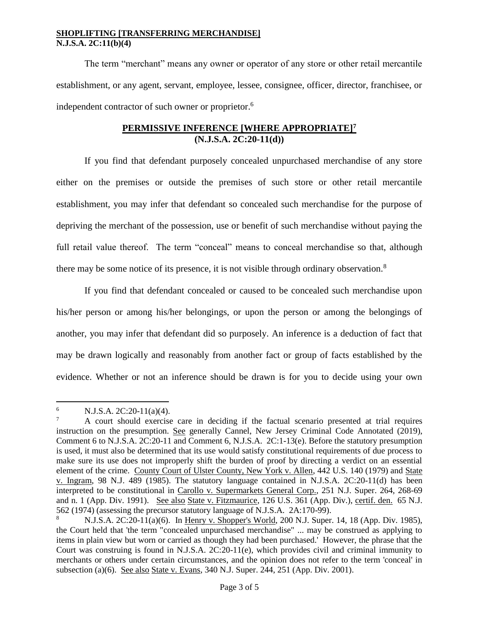The term "merchant" means any owner or operator of any store or other retail mercantile establishment, or any agent, servant, employee, lessee, consignee, officer, director, franchisee, or independent contractor of such owner or proprietor.<sup>6</sup>

### **PERMISSIVE INFERENCE [WHERE APPROPRIATE]<sup>7</sup> (N.J.S.A. 2C:20-11(d))**

If you find that defendant purposely concealed unpurchased merchandise of any store either on the premises or outside the premises of such store or other retail mercantile establishment, you may infer that defendant so concealed such merchandise for the purpose of depriving the merchant of the possession, use or benefit of such merchandise without paying the full retail value thereof. The term "conceal" means to conceal merchandise so that, although there may be some notice of its presence, it is not visible through ordinary observation.<sup>8</sup>

If you find that defendant concealed or caused to be concealed such merchandise upon his/her person or among his/her belongings, or upon the person or among the belongings of another, you may infer that defendant did so purposely. An inference is a deduction of fact that may be drawn logically and reasonably from another fact or group of facts established by the evidence. Whether or not an inference should be drawn is for you to decide using your own

 $\overline{a}$ 6 N.J.S.A. 2C:20-11(a)(4).

<sup>7</sup> A court should exercise care in deciding if the factual scenario presented at trial requires instruction on the presumption. See generally Cannel, New Jersey Criminal Code Annotated (2019), Comment 6 to N.J.S.A. 2C:20-11 and Comment 6, N.J.S.A. 2C:1-13(e). Before the statutory presumption is used, it must also be determined that its use would satisfy constitutional requirements of due process to make sure its use does not improperly shift the burden of proof by directing a verdict on an essential element of the crime. County Court of Ulster County, New York v. Allen, 442 U.S. 140 (1979) and State v. Ingram, 98 N.J. 489 (1985). The statutory language contained in N.J.S.A. 2C:20-11(d) has been interpreted to be constitutional in Carollo v. Supermarkets General Corp., 251 N.J. Super. 264, 268-69 and n. 1 (App. Div. 1991). See also State v. Fitzmaurice, 126 U.S. 361 (App. Div.), certif. den. 65 N.J. 562 (1974) (assessing the precursor statutory language of N.J.S.A. 2A:170-99).

<sup>8</sup> N.J.S.A. 2C:20-11(a)(6). In Henry v. Shopper's World, 200 N.J. Super. 14, 18 (App. Div. 1985), the Court held that 'the term "concealed unpurchased merchandise" ... may be construed as applying to items in plain view but worn or carried as though they had been purchased.' However, the phrase that the Court was construing is found in N.J.S.A. 2C:20-11(e), which provides civil and criminal immunity to merchants or others under certain circumstances, and the opinion does not refer to the term 'conceal' in subsection (a)(6). See also State v. Evans, 340 N.J. Super. 244, 251 (App. Div. 2001).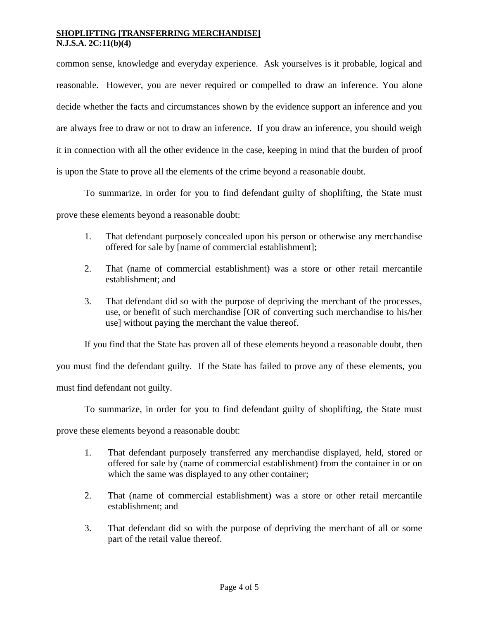common sense, knowledge and everyday experience. Ask yourselves is it probable, logical and reasonable. However, you are never required or compelled to draw an inference. You alone decide whether the facts and circumstances shown by the evidence support an inference and you are always free to draw or not to draw an inference. If you draw an inference, you should weigh it in connection with all the other evidence in the case, keeping in mind that the burden of proof is upon the State to prove all the elements of the crime beyond a reasonable doubt.

To summarize, in order for you to find defendant guilty of shoplifting, the State must

prove these elements beyond a reasonable doubt:

- 1. That defendant purposely concealed upon his person or otherwise any merchandise offered for sale by [name of commercial establishment];
- 2. That (name of commercial establishment) was a store or other retail mercantile establishment; and
- 3. That defendant did so with the purpose of depriving the merchant of the processes, use, or benefit of such merchandise [OR of converting such merchandise to his/her use] without paying the merchant the value thereof.

If you find that the State has proven all of these elements beyond a reasonable doubt, then you must find the defendant guilty. If the State has failed to prove any of these elements, you must find defendant not guilty.

To summarize, in order for you to find defendant guilty of shoplifting, the State must

prove these elements beyond a reasonable doubt:

- 1. That defendant purposely transferred any merchandise displayed, held, stored or offered for sale by (name of commercial establishment) from the container in or on which the same was displayed to any other container;
- 2. That (name of commercial establishment) was a store or other retail mercantile establishment; and
- 3. That defendant did so with the purpose of depriving the merchant of all or some part of the retail value thereof.